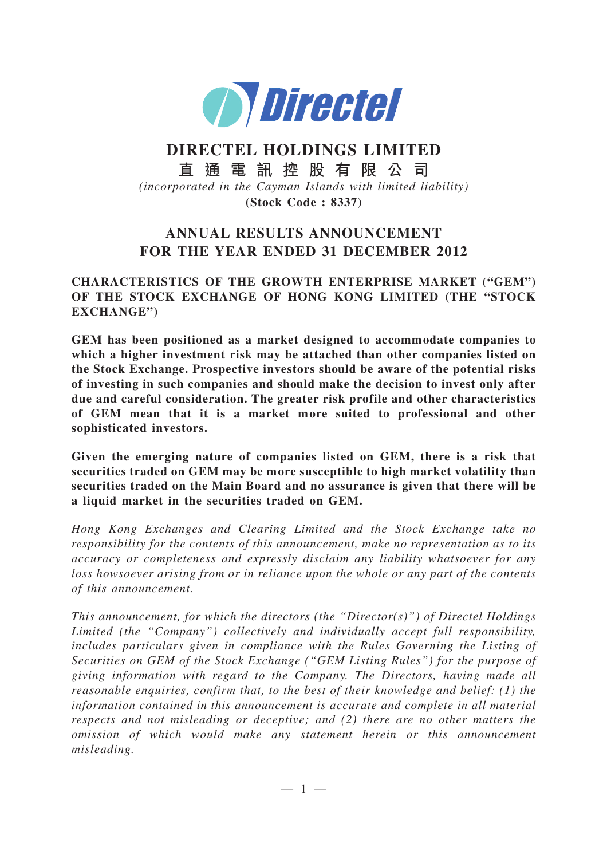

# **DIRECTEL HOLDINGS LIMITED**

**直通電訊控股有限公司**

*(incorporated in the Cayman Islands with limited liability)*

**(Stock Code : 8337)**

## **ANNUAL RESULTS ANNOUNCEMENT FOR THE YEAR ENDED 31 DECEMBER 2012**

### **CHARACTERISTICS OF THE GROWTH ENTERPRISE MARKET ("GEM") OF THE STOCK EXCHANGE OF HONG KONG LIMITED (THE "STOCK EXCHANGE")**

**GEM has been positioned as a market designed to accommodate companies to which a higher investment risk may be attached than other companies listed on the Stock Exchange. Prospective investors should be aware of the potential risks of investing in such companies and should make the decision to invest only after due and careful consideration. The greater risk profile and other characteristics of GEM mean that it is a market more suited to professional and other sophisticated investors.**

**Given the emerging nature of companies listed on GEM, there is a risk that securities traded on GEM may be more susceptible to high market volatility than securities traded on the Main Board and no assurance is given that there will be a liquid market in the securities traded on GEM.**

*Hong Kong Exchanges and Clearing Limited and the Stock Exchange take no responsibility for the contents of this announcement, make no representation as to its accuracy or completeness and expressly disclaim any liability whatsoever for any loss howsoever arising from or in reliance upon the whole or any part of the contents of this announcement.*

*This announcement, for which the directors (the "Director(s)") of Directel Holdings Limited (the "Company") collectively and individually accept full responsibility, includes particulars given in compliance with the Rules Governing the Listing of Securities on GEM of the Stock Exchange ("GEM Listing Rules") for the purpose of giving information with regard to the Company. The Directors, having made all reasonable enquiries, confirm that, to the best of their knowledge and belief: (1) the information contained in this announcement is accurate and complete in all material respects and not misleading or deceptive; and (2) there are no other matters the omission of which would make any statement herein or this announcement misleading.*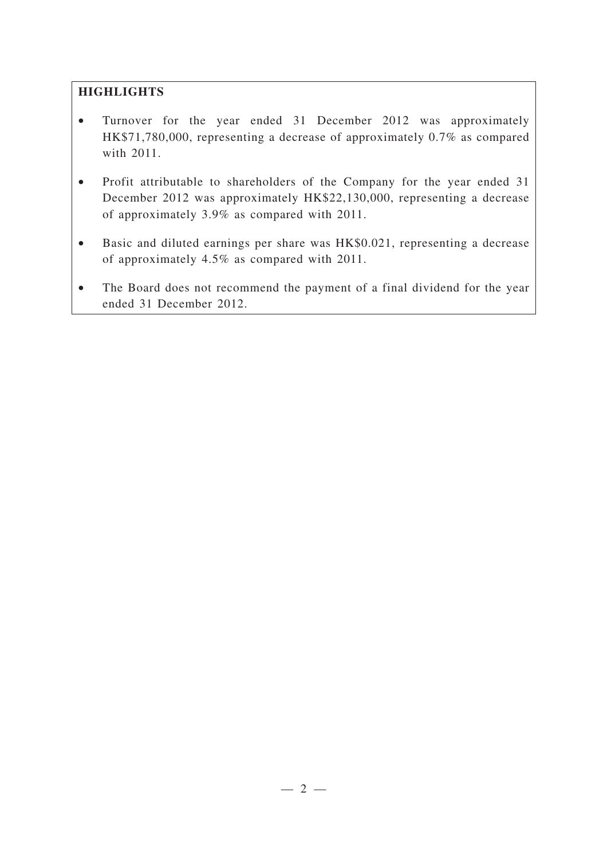## **HIGHLIGHTS**

- Turnover for the year ended 31 December 2012 was approximately HK\$71,780,000, representing a decrease of approximately 0.7% as compared with 2011.
- Profit attributable to shareholders of the Company for the year ended 31 December 2012 was approximately HK\$22,130,000, representing a decrease of approximately 3.9% as compared with 2011.
- Basic and diluted earnings per share was HK\$0.021, representing a decrease of approximately 4.5% as compared with 2011.
- The Board does not recommend the payment of a final dividend for the year ended 31 December 2012.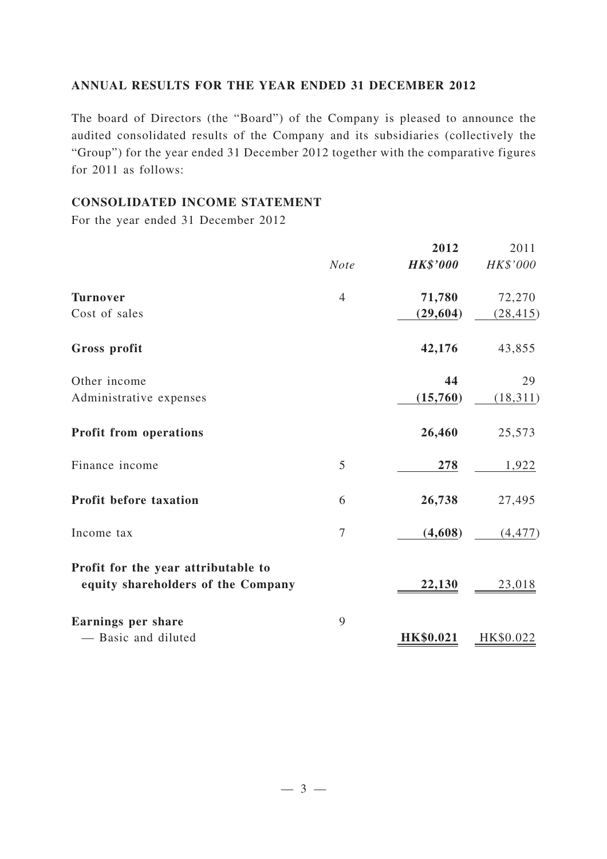### **ANNUAL RESULTS FOR THE YEAR ENDED 31 DECEMBER 2012**

The board of Directors (the "Board") of the Company is pleased to announce the audited consolidated results of the Company and its subsidiaries (collectively the "Group") for the year ended 31 December 2012 together with the comparative figures for 2011 as follows:

#### **CONSOLIDATED INCOME STATEMENT**

For the year ended 31 December 2012

|                                                                           |                | 2012            | 2011      |
|---------------------------------------------------------------------------|----------------|-----------------|-----------|
|                                                                           | <b>Note</b>    | <b>HK\$'000</b> | HK\$'000  |
| <b>Turnover</b>                                                           | $\overline{4}$ | 71,780          | 72,270    |
| Cost of sales                                                             |                | (29, 604)       | (28, 415) |
| Gross profit                                                              |                | 42,176          | 43,855    |
| Other income                                                              |                | 44              | 29        |
| Administrative expenses                                                   |                | (15,760)        | (18, 311) |
| <b>Profit from operations</b>                                             |                | 26,460          | 25,573    |
| Finance income                                                            | 5              | 278             | 1,922     |
| Profit before taxation                                                    | 6              | 26,738          | 27,495    |
| Income tax                                                                | $\overline{7}$ | (4,608)         | (4, 477)  |
| Profit for the year attributable to<br>equity shareholders of the Company |                | 22,130          | 23,018    |
| Earnings per share                                                        | 9              |                 |           |
| - Basic and diluted                                                       |                | HK\$0.021       | HK\$0.022 |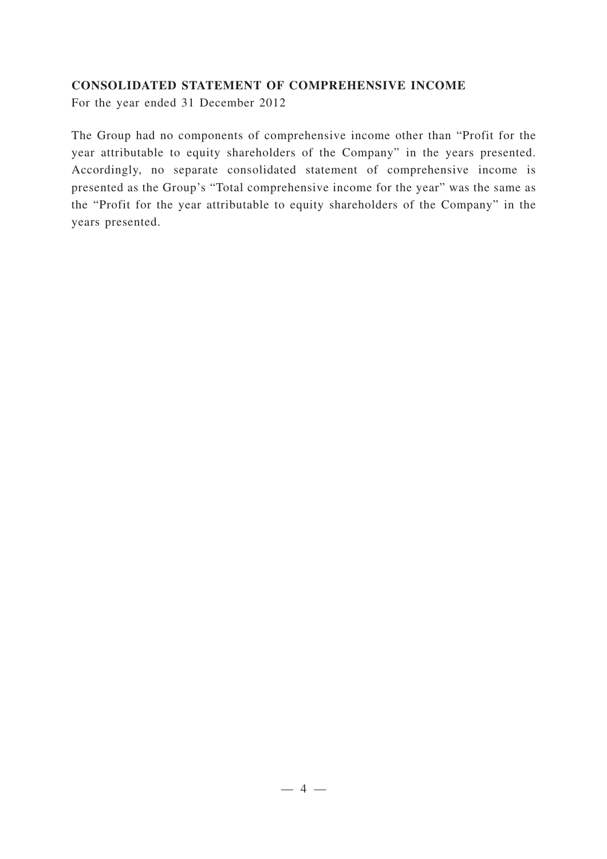#### **CONSOLIDATED STATEMENT OF COMPREHENSIVE INCOME**

For the year ended 31 December 2012

The Group had no components of comprehensive income other than "Profit for the year attributable to equity shareholders of the Company" in the years presented. Accordingly, no separate consolidated statement of comprehensive income is presented as the Group's "Total comprehensive income for the year" was the same as the "Profit for the year attributable to equity shareholders of the Company" in the years presented.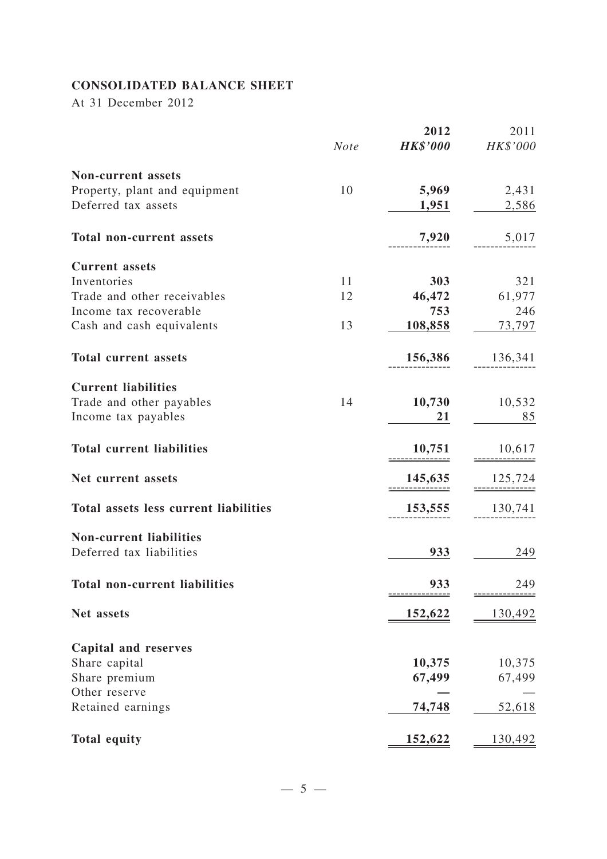## **CONSOLIDATED BALANCE SHEET**

At 31 December 2012

|                                                            |             | 2012            | 2011     |
|------------------------------------------------------------|-------------|-----------------|----------|
|                                                            | <b>Note</b> | <b>HK\$'000</b> | HK\$'000 |
| <b>Non-current assets</b>                                  |             |                 |          |
| Property, plant and equipment                              | 10          | 5,969           | 2,431    |
| Deferred tax assets                                        |             | 1,951           | 2,586    |
| <b>Total non-current assets</b>                            |             | 7,920           | 5,017    |
| <b>Current</b> assets                                      |             |                 |          |
| Inventories                                                | 11          | 303             | 321      |
| Trade and other receivables                                | 12          | 46,472          | 61,977   |
| Income tax recoverable                                     |             | 753             | 246      |
| Cash and cash equivalents                                  | 13          | 108,858         | 73,797   |
| <b>Total current assets</b>                                |             | 156,386         | 136,341  |
| <b>Current liabilities</b>                                 |             |                 |          |
| Trade and other payables                                   | 14          | 10,730          | 10,532   |
| Income tax payables                                        |             | 21              | 85       |
| <b>Total current liabilities</b>                           |             | 10,751          | 10,617   |
| Net current assets                                         |             | 145,635         | 125,724  |
| <b>Total assets less current liabilities</b>               |             | 153,555         | 130,741  |
|                                                            |             |                 |          |
| <b>Non-current liabilities</b><br>Deferred tax liabilities |             | 933             | 249      |
| <b>Total non-current liabilities</b>                       |             | 933             | 249      |
|                                                            |             |                 |          |
| Net assets                                                 |             | <u>152,622</u>  | 130,492  |
| <b>Capital and reserves</b>                                |             |                 |          |
| Share capital                                              |             | 10,375          | 10,375   |
| Share premium                                              |             | 67,499          | 67,499   |
| Other reserve                                              |             |                 |          |
| Retained earnings                                          |             | 74,748          | 52,618   |
| <b>Total equity</b>                                        |             | 152,622         | 130,492  |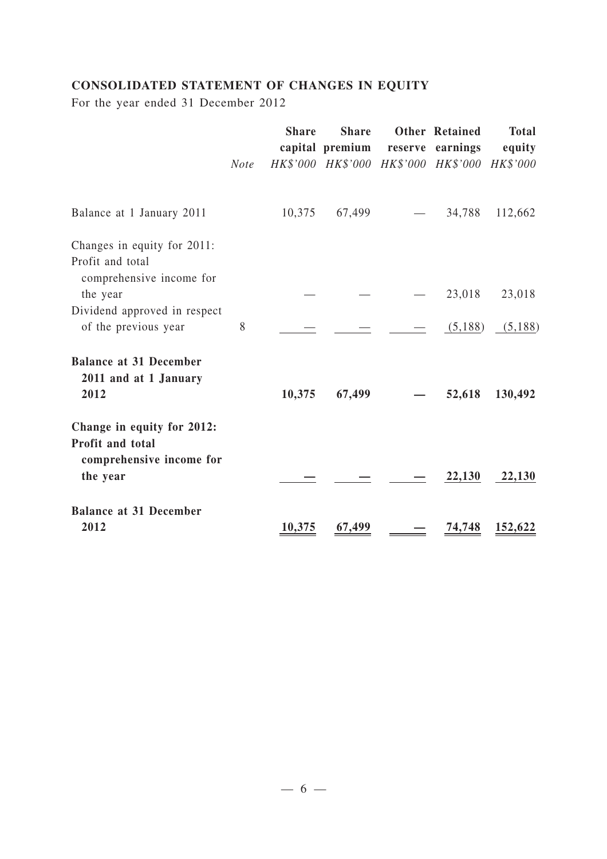## **CONSOLIDATED STATEMENT OF CHANGES IN EQUITY**

For the year ended 31 December 2012

|                                                                             | <b>Note</b> | <b>Share</b> | <b>Share</b><br>capital premium reserve earnings | <b>Other Retained</b><br>HK\$'000 HK\$'000 HK\$'000 HK\$'000 HK\$'000 | <b>Total</b><br>equity |
|-----------------------------------------------------------------------------|-------------|--------------|--------------------------------------------------|-----------------------------------------------------------------------|------------------------|
| Balance at 1 January 2011                                                   |             | 10,375       | 67,499                                           | 34,788                                                                | 112,662                |
| Changes in equity for 2011:<br>Profit and total<br>comprehensive income for |             |              |                                                  |                                                                       |                        |
| the year                                                                    |             |              |                                                  | 23,018                                                                | 23,018                 |
| Dividend approved in respect<br>of the previous year                        | 8           |              |                                                  | (5,188)                                                               | (5,188)                |
| <b>Balance at 31 December</b><br>2011 and at 1 January<br>2012              |             | 10,375       | 67,499                                           | 52,618                                                                | 130,492                |
| Change in equity for 2012:                                                  |             |              |                                                  |                                                                       |                        |
| Profit and total<br>comprehensive income for<br>the year                    |             |              |                                                  | 22,130                                                                | 22,130                 |
| <b>Balance at 31 December</b><br>2012                                       |             | 10,375       | 67,499                                           | 74,748                                                                | 152,622                |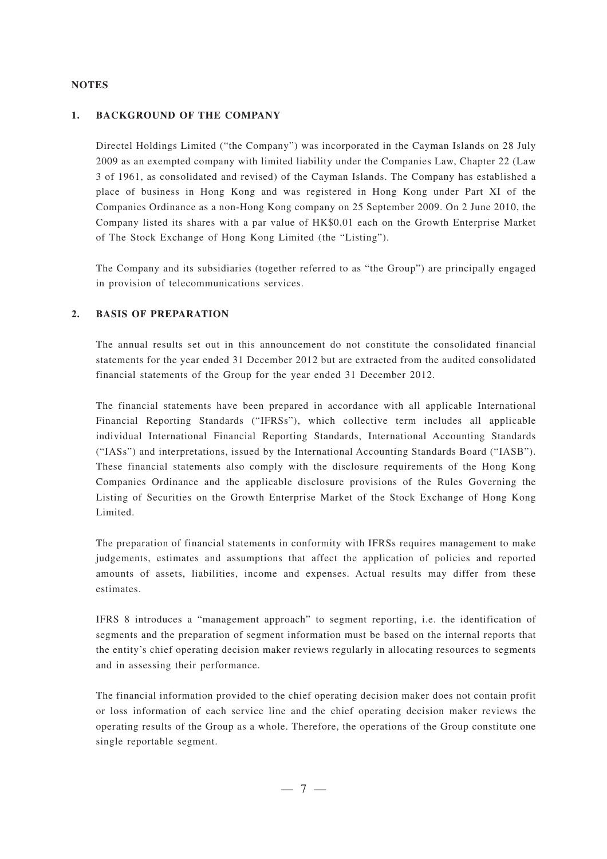#### **NOTES**

#### **1. BACKGROUND OF THE COMPANY**

Directel Holdings Limited ("the Company") was incorporated in the Cayman Islands on 28 July 2009 as an exempted company with limited liability under the Companies Law, Chapter 22 (Law 3 of 1961, as consolidated and revised) of the Cayman Islands. The Company has established a place of business in Hong Kong and was registered in Hong Kong under Part XI of the Companies Ordinance as a non-Hong Kong company on 25 September 2009. On 2 June 2010, the Company listed its shares with a par value of HK\$0.01 each on the Growth Enterprise Market of The Stock Exchange of Hong Kong Limited (the "Listing").

The Company and its subsidiaries (together referred to as "the Group") are principally engaged in provision of telecommunications services.

#### **2. BASIS OF PREPARATION**

The annual results set out in this announcement do not constitute the consolidated financial statements for the year ended 31 December 2012 but are extracted from the audited consolidated financial statements of the Group for the year ended 31 December 2012.

The financial statements have been prepared in accordance with all applicable International Financial Reporting Standards ("IFRSs"), which collective term includes all applicable individual International Financial Reporting Standards, International Accounting Standards ("IASs") and interpretations, issued by the International Accounting Standards Board ("IASB"). These financial statements also comply with the disclosure requirements of the Hong Kong Companies Ordinance and the applicable disclosure provisions of the Rules Governing the Listing of Securities on the Growth Enterprise Market of the Stock Exchange of Hong Kong Limited.

The preparation of financial statements in conformity with IFRSs requires management to make judgements, estimates and assumptions that affect the application of policies and reported amounts of assets, liabilities, income and expenses. Actual results may differ from these estimates.

IFRS 8 introduces a "management approach" to segment reporting, i.e. the identification of segments and the preparation of segment information must be based on the internal reports that the entity's chief operating decision maker reviews regularly in allocating resources to segments and in assessing their performance.

The financial information provided to the chief operating decision maker does not contain profit or loss information of each service line and the chief operating decision maker reviews the operating results of the Group as a whole. Therefore, the operations of the Group constitute one single reportable segment.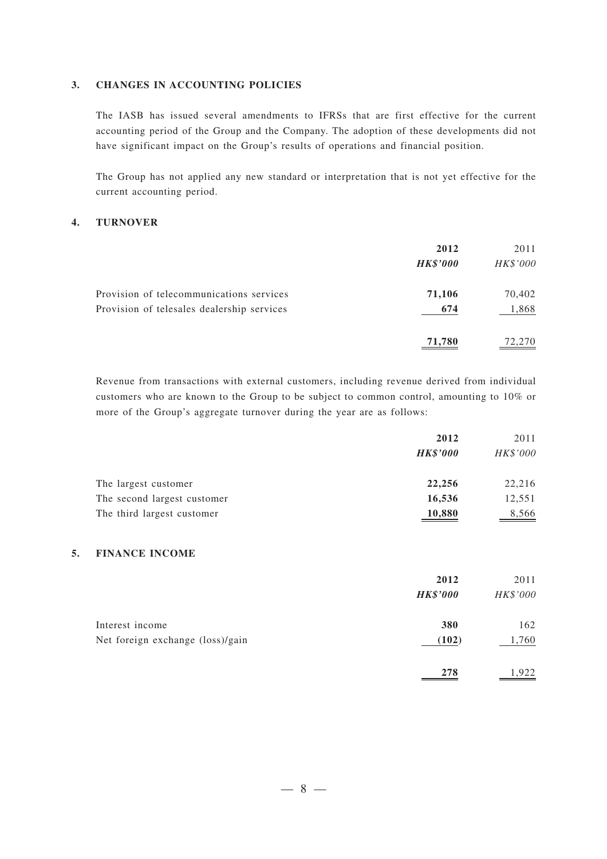#### **3. CHANGES IN ACCOUNTING POLICIES**

The IASB has issued several amendments to IFRSs that are first effective for the current accounting period of the Group and the Company. The adoption of these developments did not have significant impact on the Group's results of operations and financial position.

The Group has not applied any new standard or interpretation that is not yet effective for the current accounting period.

#### **4. TURNOVER**

|                                            | 2012<br><b>HK\$'000</b> | 2011<br>HK\$'000 |
|--------------------------------------------|-------------------------|------------------|
| Provision of telecommunications services   | 71,106                  | 70,402           |
| Provision of telesales dealership services | 674                     | 1,868            |
|                                            | 71,780                  | 72,270           |

Revenue from transactions with external customers, including revenue derived from individual customers who are known to the Group to be subject to common control, amounting to 10% or more of the Group's aggregate turnover during the year are as follows:

|                             | 2012            | 2011     |
|-----------------------------|-----------------|----------|
|                             | <b>HK\$'000</b> | HK\$'000 |
| The largest customer        | 22,256          | 22,216   |
| The second largest customer | 16,536          | 12,551   |
| The third largest customer  | 10,880          | 8,566    |

#### **5. FINANCE INCOME**

|                                  | 2012            | 2011     |
|----------------------------------|-----------------|----------|
|                                  | <b>HK\$'000</b> | HK\$'000 |
| Interest income                  | 380             | 162      |
| Net foreign exchange (loss)/gain | (102)           | 1,760    |
|                                  | 278             | .922     |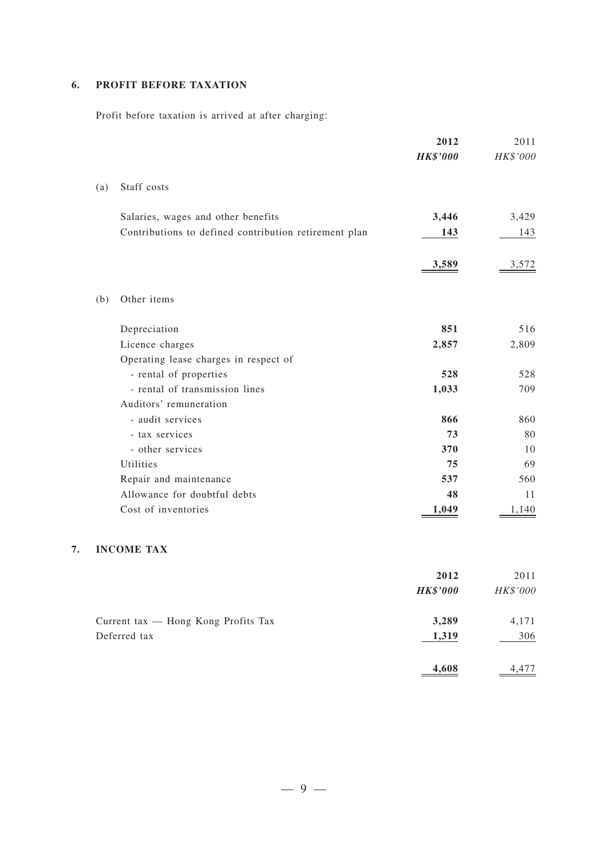#### **6. PROFIT BEFORE TAXATION**

**7. INCOME TAX**

Profit before taxation is arrived at after charging:

|     |                                                       | 2012            | 2011     |
|-----|-------------------------------------------------------|-----------------|----------|
|     |                                                       | <b>HK\$'000</b> | HK\$'000 |
| (a) | Staff costs                                           |                 |          |
|     | Salaries, wages and other benefits                    | 3,446           | 3,429    |
|     | Contributions to defined contribution retirement plan | 143             | 143      |
|     |                                                       | <u>3,589</u>    | 3,572    |
| (b) | Other items                                           |                 |          |
|     | Depreciation                                          | 851             | 516      |
|     | Licence charges                                       | 2,857           | 2,809    |
|     | Operating lease charges in respect of                 |                 |          |
|     | - rental of properties                                | 528             | 528      |
|     | - rental of transmission lines                        | 1,033           | 709      |
|     | Auditors' remuneration                                |                 |          |
|     | - audit services                                      | 866             | 860      |
|     | - tax services                                        | 73              | 80       |
|     | - other services                                      | 370             | 10       |
|     | Utilities                                             | 75              | 69       |
|     | Repair and maintenance                                | 537             | 560      |
|     | Allowance for doubtful debts                          | 48              | 11       |
|     | Cost of inventories                                   | 1,049           | 1,140    |

|                                     | 2012            | 2011     |
|-------------------------------------|-----------------|----------|
|                                     | <b>HK\$'000</b> | HK\$'000 |
| Current tax — Hong Kong Profits Tax | 3,289           | 4,171    |
| Deferred tax                        | 1,319           | 306      |
|                                     | 4.608           | 4,477    |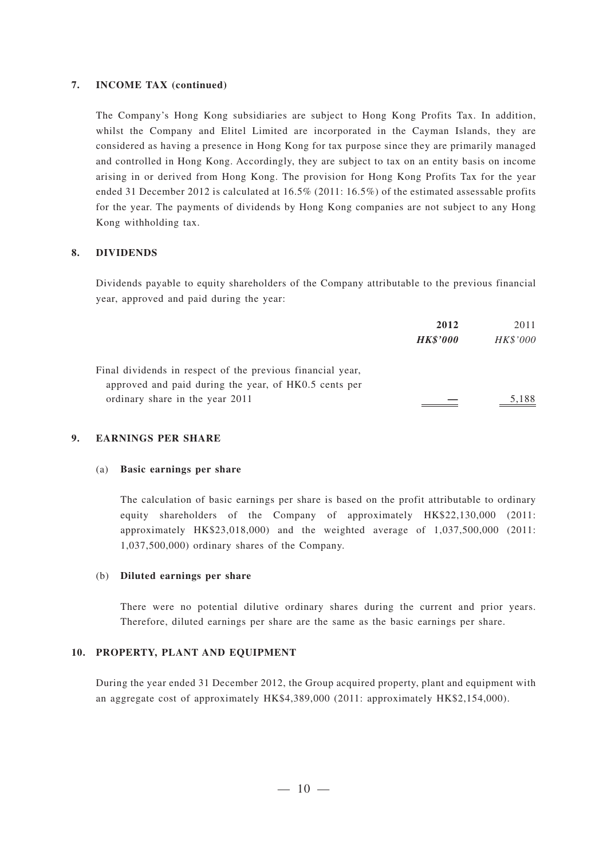#### **7. INCOME TAX (continued)**

The Company's Hong Kong subsidiaries are subject to Hong Kong Profits Tax. In addition, whilst the Company and Elitel Limited are incorporated in the Cayman Islands, they are considered as having a presence in Hong Kong for tax purpose since they are primarily managed and controlled in Hong Kong. Accordingly, they are subject to tax on an entity basis on income arising in or derived from Hong Kong. The provision for Hong Kong Profits Tax for the year ended 31 December 2012 is calculated at 16.5% (2011: 16.5%) of the estimated assessable profits for the year. The payments of dividends by Hong Kong companies are not subject to any Hong Kong withholding tax.

#### **8. DIVIDENDS**

Dividends payable to equity shareholders of the Company attributable to the previous financial year, approved and paid during the year:

|                                                            | 2012            | 2011     |
|------------------------------------------------------------|-----------------|----------|
|                                                            | <b>HK\$'000</b> | HK\$'000 |
| Final dividends in respect of the previous financial year, |                 |          |
| approved and paid during the year, of HK0.5 cents per      |                 |          |
| ordinary share in the year 2011                            |                 | 5,188    |

#### **9. EARNINGS PER SHARE**

#### (a) **Basic earnings per share**

The calculation of basic earnings per share is based on the profit attributable to ordinary equity shareholders of the Company of approximately HK\$22,130,000 (2011: approximately HK\$23,018,000) and the weighted average of 1,037,500,000 (2011: 1,037,500,000) ordinary shares of the Company.

#### (b) **Diluted earnings per share**

There were no potential dilutive ordinary shares during the current and prior years. Therefore, diluted earnings per share are the same as the basic earnings per share.

#### **10. PROPERTY, PLANT AND EQUIPMENT**

During the year ended 31 December 2012, the Group acquired property, plant and equipment with an aggregate cost of approximately HK\$4,389,000 (2011: approximately HK\$2,154,000).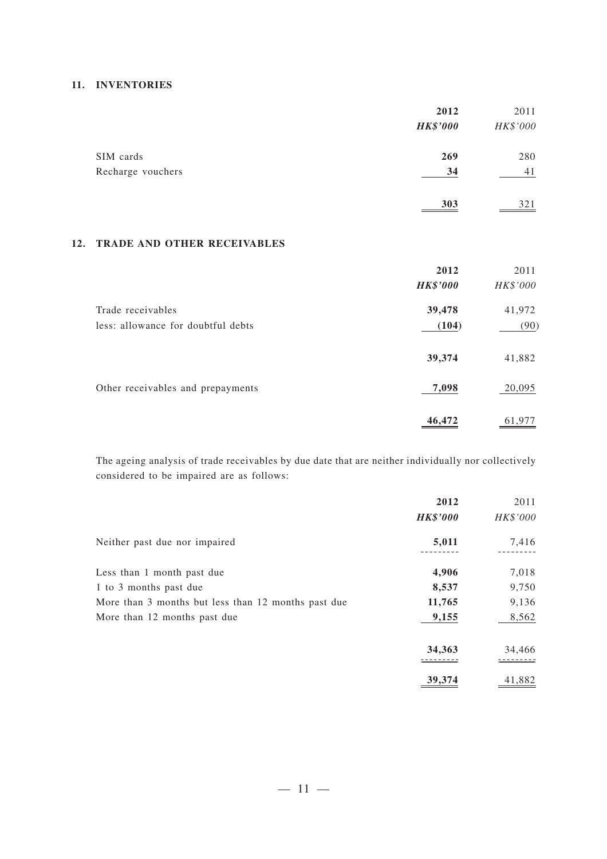#### **11. INVENTORIES**

|                   | 2012            | 2011     |
|-------------------|-----------------|----------|
|                   | <b>HK\$'000</b> | HK\$'000 |
| SIM cards         | 269             | 280      |
| Recharge vouchers | 34              | 41       |
|                   | 303             | 321      |

#### **12. TRADE AND OTHER RECEIVABLES**

|                                    | 2012            | 2011     |
|------------------------------------|-----------------|----------|
|                                    | <b>HK\$'000</b> | HK\$'000 |
| Trade receivables                  | 39,478          | 41,972   |
| less: allowance for doubtful debts | (104)           | (90)     |
|                                    | 39,374          | 41,882   |
| Other receivables and prepayments  | 7,098           | 20,095   |
|                                    | 46,472          | 61,977   |

The ageing analysis of trade receivables by due date that are neither individually nor collectively considered to be impaired are as follows:

|                                                     | 2012            | 2011     |
|-----------------------------------------------------|-----------------|----------|
|                                                     | <b>HK\$'000</b> | HK\$'000 |
| Neither past due nor impaired                       | 5,011           | 7,416    |
| Less than 1 month past due                          | 4,906           | 7,018    |
| 1 to 3 months past due                              | 8,537           | 9,750    |
| More than 3 months but less than 12 months past due | 11,765          | 9,136    |
| More than 12 months past due                        | 9,155           | 8,562    |
|                                                     | 34,363          | 34,466   |
|                                                     | 39,374          | 41,882   |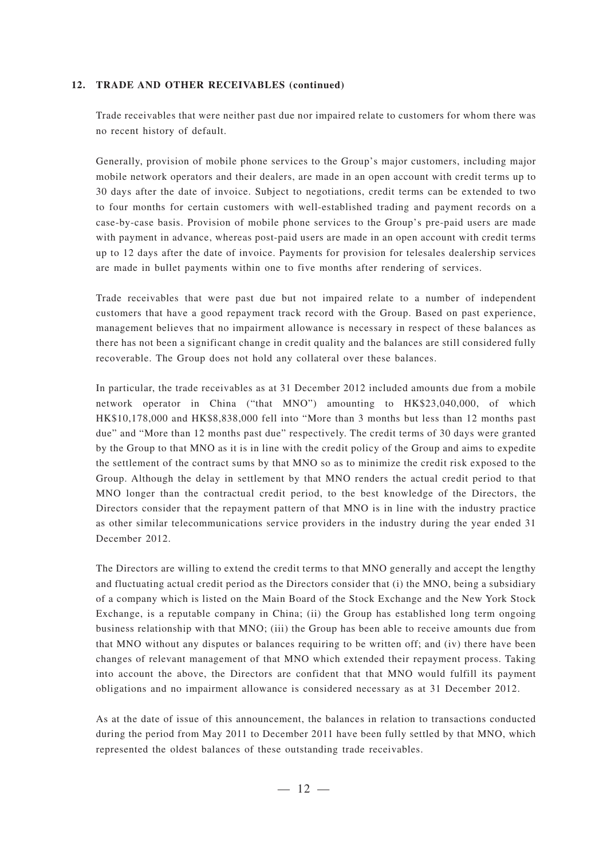#### **12. TRADE AND OTHER RECEIVABLES (continued)**

Trade receivables that were neither past due nor impaired relate to customers for whom there was no recent history of default.

Generally, provision of mobile phone services to the Group's major customers, including major mobile network operators and their dealers, are made in an open account with credit terms up to 30 days after the date of invoice. Subject to negotiations, credit terms can be extended to two to four months for certain customers with well-established trading and payment records on a case-by-case basis. Provision of mobile phone services to the Group's pre-paid users are made with payment in advance, whereas post-paid users are made in an open account with credit terms up to 12 days after the date of invoice. Payments for provision for telesales dealership services are made in bullet payments within one to five months after rendering of services.

Trade receivables that were past due but not impaired relate to a number of independent customers that have a good repayment track record with the Group. Based on past experience, management believes that no impairment allowance is necessary in respect of these balances as there has not been a significant change in credit quality and the balances are still considered fully recoverable. The Group does not hold any collateral over these balances.

In particular, the trade receivables as at 31 December 2012 included amounts due from a mobile network operator in China ("that MNO") amounting to HK\$23,040,000, of which HK\$10,178,000 and HK\$8,838,000 fell into "More than 3 months but less than 12 months past due" and "More than 12 months past due" respectively. The credit terms of 30 days were granted by the Group to that MNO as it is in line with the credit policy of the Group and aims to expedite the settlement of the contract sums by that MNO so as to minimize the credit risk exposed to the Group. Although the delay in settlement by that MNO renders the actual credit period to that MNO longer than the contractual credit period, to the best knowledge of the Directors, the Directors consider that the repayment pattern of that MNO is in line with the industry practice as other similar telecommunications service providers in the industry during the year ended 31 December 2012.

The Directors are willing to extend the credit terms to that MNO generally and accept the lengthy and fluctuating actual credit period as the Directors consider that (i) the MNO, being a subsidiary of a company which is listed on the Main Board of the Stock Exchange and the New York Stock Exchange, is a reputable company in China; (ii) the Group has established long term ongoing business relationship with that MNO; (iii) the Group has been able to receive amounts due from that MNO without any disputes or balances requiring to be written off; and (iv) there have been changes of relevant management of that MNO which extended their repayment process. Taking into account the above, the Directors are confident that that MNO would fulfill its payment obligations and no impairment allowance is considered necessary as at 31 December 2012.

As at the date of issue of this announcement, the balances in relation to transactions conducted during the period from May 2011 to December 2011 have been fully settled by that MNO, which represented the oldest balances of these outstanding trade receivables.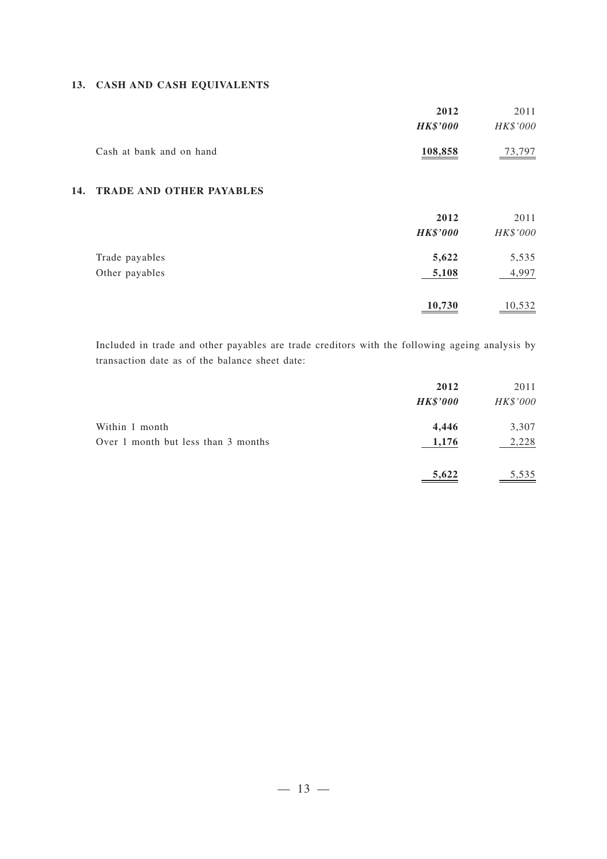#### **13. CASH AND CASH EQUIVALENTS**

|                          | 2012            | 2011          |
|--------------------------|-----------------|---------------|
|                          | <b>HK\$'000</b> | HK\$'000      |
| Cash at bank and on hand | <u>108,858</u>  | <u>73,797</u> |

#### **14. TRADE AND OTHER PAYABLES**

|                | 2012            | 2011     |
|----------------|-----------------|----------|
|                | <b>HK\$'000</b> | HK\$'000 |
| Trade payables | 5,622           | 5,535    |
| Other payables | 5,108           | 4,997    |
|                | 10,730          | 10,532   |

Included in trade and other payables are trade creditors with the following ageing analysis by transaction date as of the balance sheet date:

|                                     | 2012<br><b>HK\$'000</b> | 2011<br>HK\$'000 |
|-------------------------------------|-------------------------|------------------|
| Within 1 month                      | 4,446                   | 3,307            |
| Over 1 month but less than 3 months | 1,176                   | 2,228            |
|                                     | 5,622                   | 5,535            |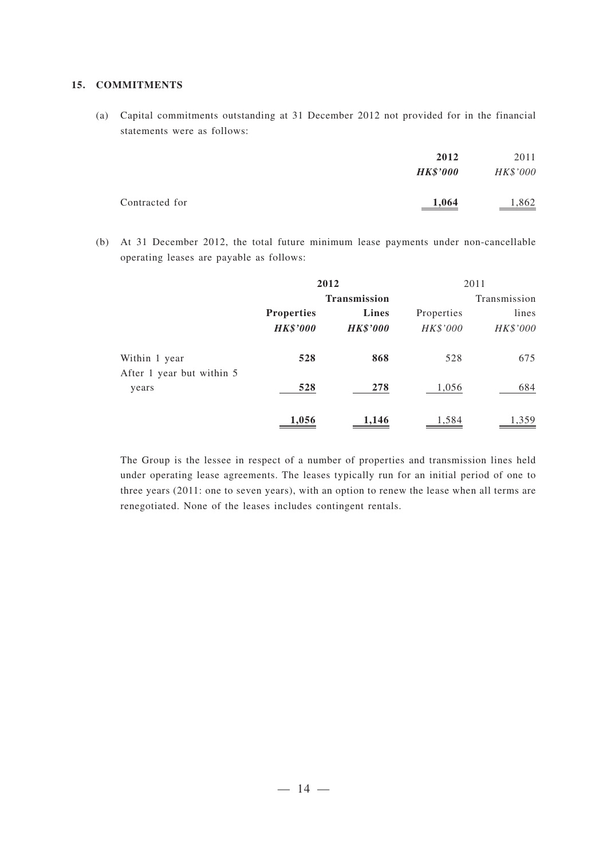#### **15. COMMITMENTS**

(a) Capital commitments outstanding at 31 December 2012 not provided for in the financial statements were as follows:

|                | 2012<br><b>HK\$'000</b> | 2011<br>HK\$'000 |
|----------------|-------------------------|------------------|
| Contracted for | 1,064                   | 1,862            |

(b) At 31 December 2012, the total future minimum lease payments under non-cancellable operating leases are payable as follows:

|                                    | 2012              |                 |              | 2011     |
|------------------------------------|-------------------|-----------------|--------------|----------|
|                                    | Transmission      |                 | Transmission |          |
|                                    | <b>Properties</b> | Lines           | Properties   | lines    |
|                                    | <b>HK\$'000</b>   | <b>HK\$'000</b> | HK\$'000     | HK\$'000 |
| Within 1 year                      | 528               | 868             | 528          | 675      |
| After 1 year but within 5<br>years | 528               | 278             | 1,056        | 684      |
|                                    | 1,056             | 1,146           | 1,584        | 1,359    |

The Group is the lessee in respect of a number of properties and transmission lines held under operating lease agreements. The leases typically run for an initial period of one to three years (2011: one to seven years), with an option to renew the lease when all terms are renegotiated. None of the leases includes contingent rentals.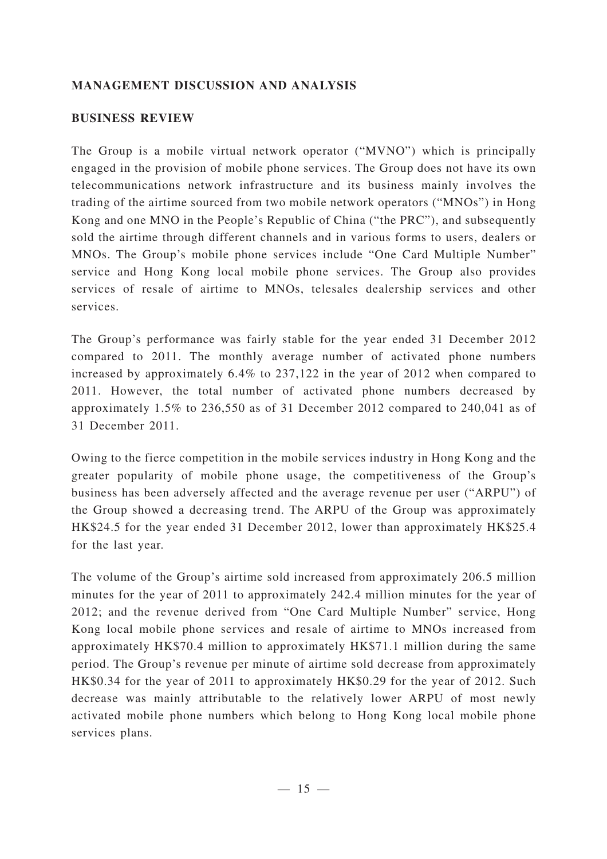#### **MANAGEMENT DISCUSSION AND ANALYSIS**

#### **BUSINESS REVIEW**

The Group is a mobile virtual network operator ("MVNO") which is principally engaged in the provision of mobile phone services. The Group does not have its own telecommunications network infrastructure and its business mainly involves the trading of the airtime sourced from two mobile network operators ("MNOs") in Hong Kong and one MNO in the People's Republic of China ("the PRC"), and subsequently sold the airtime through different channels and in various forms to users, dealers or MNOs. The Group's mobile phone services include "One Card Multiple Number" service and Hong Kong local mobile phone services. The Group also provides services of resale of airtime to MNOs, telesales dealership services and other services.

The Group's performance was fairly stable for the year ended 31 December 2012 compared to 2011. The monthly average number of activated phone numbers increased by approximately 6.4% to 237,122 in the year of 2012 when compared to 2011. However, the total number of activated phone numbers decreased by approximately 1.5% to 236,550 as of 31 December 2012 compared to 240,041 as of 31 December 2011.

Owing to the fierce competition in the mobile services industry in Hong Kong and the greater popularity of mobile phone usage, the competitiveness of the Group's business has been adversely affected and the average revenue per user ("ARPU") of the Group showed a decreasing trend. The ARPU of the Group was approximately HK\$24.5 for the year ended 31 December 2012, lower than approximately HK\$25.4 for the last year.

The volume of the Group's airtime sold increased from approximately 206.5 million minutes for the year of 2011 to approximately 242.4 million minutes for the year of 2012; and the revenue derived from "One Card Multiple Number" service, Hong Kong local mobile phone services and resale of airtime to MNOs increased from approximately HK\$70.4 million to approximately HK\$71.1 million during the same period. The Group's revenue per minute of airtime sold decrease from approximately HK\$0.34 for the year of 2011 to approximately HK\$0.29 for the year of 2012. Such decrease was mainly attributable to the relatively lower ARPU of most newly activated mobile phone numbers which belong to Hong Kong local mobile phone services plans.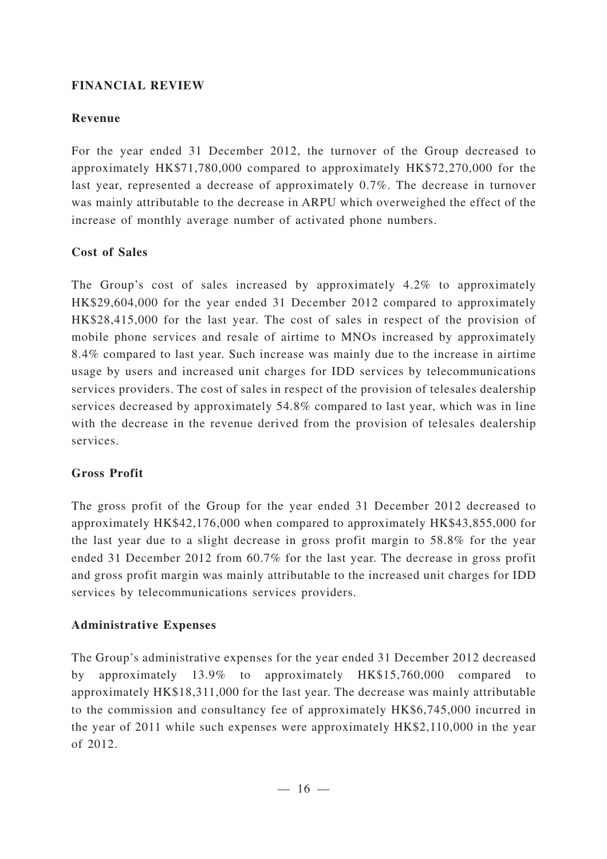#### **FINANCIAL REVIEW**

### **Revenue**

For the year ended 31 December 2012, the turnover of the Group decreased to approximately HK\$71,780,000 compared to approximately HK\$72,270,000 for the last year, represented a decrease of approximately 0.7%. The decrease in turnover was mainly attributable to the decrease in ARPU which overweighed the effect of the increase of monthly average number of activated phone numbers.

### **Cost of Sales**

The Group's cost of sales increased by approximately 4.2% to approximately HK\$29,604,000 for the year ended 31 December 2012 compared to approximately HK\$28,415,000 for the last year. The cost of sales in respect of the provision of mobile phone services and resale of airtime to MNOs increased by approximately 8.4% compared to last year. Such increase was mainly due to the increase in airtime usage by users and increased unit charges for IDD services by telecommunications services providers. The cost of sales in respect of the provision of telesales dealership services decreased by approximately 54.8% compared to last year, which was in line with the decrease in the revenue derived from the provision of telesales dealership services.

## **Gross Profit**

The gross profit of the Group for the year ended 31 December 2012 decreased to approximately HK\$42,176,000 when compared to approximately HK\$43,855,000 for the last year due to a slight decrease in gross profit margin to 58.8% for the year ended 31 December 2012 from 60.7% for the last year. The decrease in gross profit and gross profit margin was mainly attributable to the increased unit charges for IDD services by telecommunications services providers.

## **Administrative Expenses**

The Group's administrative expenses for the year ended 31 December 2012 decreased by approximately  $13.9\%$  to approximately HK\$15,760,000 compared approximately HK\$18,311,000 for the last year. The decrease was mainly attributable to the commission and consultancy fee of approximately HK\$6,745,000 incurred in the year of 2011 while such expenses were approximately HK\$2,110,000 in the year of 2012.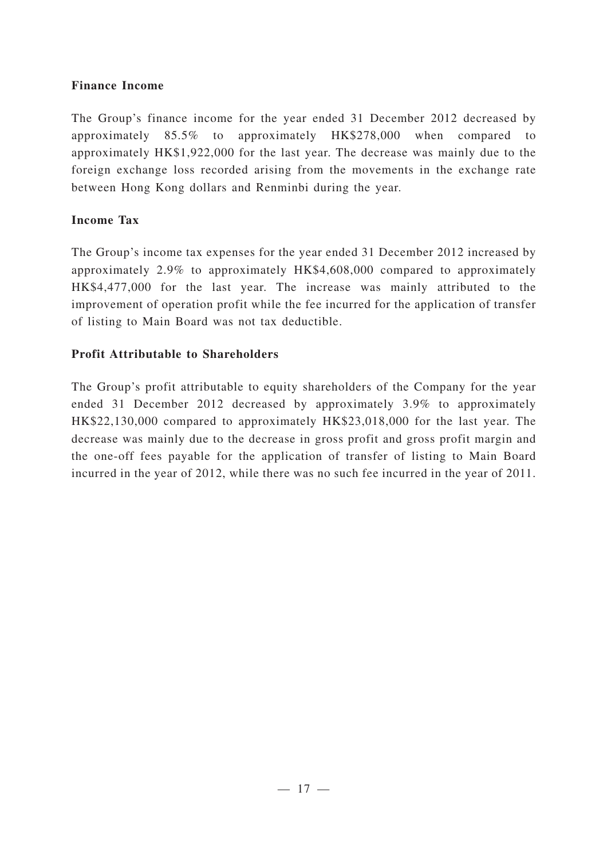### **Finance Income**

The Group's finance income for the year ended 31 December 2012 decreased by approximately 85.5% to approximately HK\$278,000 when compared to approximately HK\$1,922,000 for the last year. The decrease was mainly due to the foreign exchange loss recorded arising from the movements in the exchange rate between Hong Kong dollars and Renminbi during the year.

### **Income Tax**

The Group's income tax expenses for the year ended 31 December 2012 increased by approximately 2.9% to approximately HK\$4,608,000 compared to approximately HK\$4,477,000 for the last year. The increase was mainly attributed to the improvement of operation profit while the fee incurred for the application of transfer of listing to Main Board was not tax deductible.

## **Profit Attributable to Shareholders**

The Group's profit attributable to equity shareholders of the Company for the year ended 31 December 2012 decreased by approximately 3.9% to approximately HK\$22,130,000 compared to approximately HK\$23,018,000 for the last year. The decrease was mainly due to the decrease in gross profit and gross profit margin and the one-off fees payable for the application of transfer of listing to Main Board incurred in the year of 2012, while there was no such fee incurred in the year of 2011.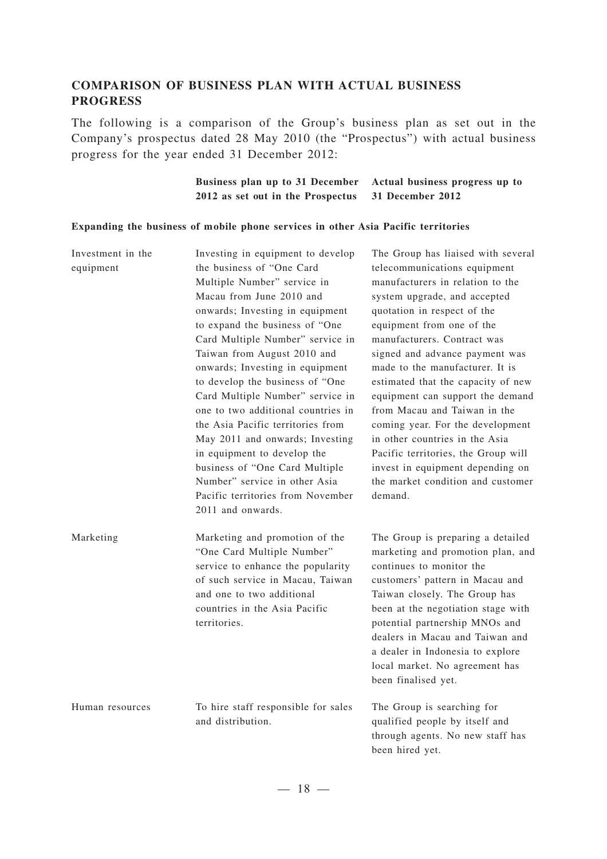### **COMPARISON OF BUSINESS PLAN WITH ACTUAL BUSINESS PROGRESS**

The following is a comparison of the Group's business plan as set out in the Company's prospectus dated 28 May 2010 (the "Prospectus") with actual business progress for the year ended 31 December 2012:

> **Business plan up to 31 December Actual business progress up to 2012 as set out in the Prospectus 31 December 2012**

#### **Expanding the business of mobile phone services in other Asia Pacific territories**

| Investment in the<br>equipment | Investing in equipment to develop<br>the business of "One Card<br>Multiple Number" service in<br>Macau from June 2010 and<br>onwards; Investing in equipment<br>to expand the business of "One<br>Card Multiple Number" service in<br>Taiwan from August 2010 and<br>onwards; Investing in equipment<br>to develop the business of "One<br>Card Multiple Number" service in<br>one to two additional countries in<br>the Asia Pacific territories from<br>May 2011 and onwards; Investing<br>in equipment to develop the<br>business of "One Card Multiple<br>Number" service in other Asia<br>Pacific territories from November<br>2011 and onwards. | The Group has liaised with several<br>telecommunications equipment<br>manufacturers in relation to the<br>system upgrade, and accepted<br>quotation in respect of the<br>equipment from one of the<br>manufacturers. Contract was<br>signed and advance payment was<br>made to the manufacturer. It is<br>estimated that the capacity of new<br>equipment can support the demand<br>from Macau and Taiwan in the<br>coming year. For the development<br>in other countries in the Asia<br>Pacific territories, the Group will<br>invest in equipment depending on<br>the market condition and customer<br>demand. |
|--------------------------------|-------------------------------------------------------------------------------------------------------------------------------------------------------------------------------------------------------------------------------------------------------------------------------------------------------------------------------------------------------------------------------------------------------------------------------------------------------------------------------------------------------------------------------------------------------------------------------------------------------------------------------------------------------|-------------------------------------------------------------------------------------------------------------------------------------------------------------------------------------------------------------------------------------------------------------------------------------------------------------------------------------------------------------------------------------------------------------------------------------------------------------------------------------------------------------------------------------------------------------------------------------------------------------------|
| Marketing                      | Marketing and promotion of the<br>"One Card Multiple Number"<br>service to enhance the popularity<br>of such service in Macau, Taiwan<br>and one to two additional<br>countries in the Asia Pacific<br>territories.                                                                                                                                                                                                                                                                                                                                                                                                                                   | The Group is preparing a detailed<br>marketing and promotion plan, and<br>continues to monitor the<br>customers' pattern in Macau and<br>Taiwan closely. The Group has<br>been at the negotiation stage with<br>potential partnership MNOs and<br>dealers in Macau and Taiwan and<br>a dealer in Indonesia to explore<br>local market. No agreement has<br>been finalised yet.                                                                                                                                                                                                                                    |
| Human resources                | To hire staff responsible for sales<br>and distribution.                                                                                                                                                                                                                                                                                                                                                                                                                                                                                                                                                                                              | The Group is searching for<br>qualified people by itself and<br>through agents. No new staff has<br>been hired yet.                                                                                                                                                                                                                                                                                                                                                                                                                                                                                               |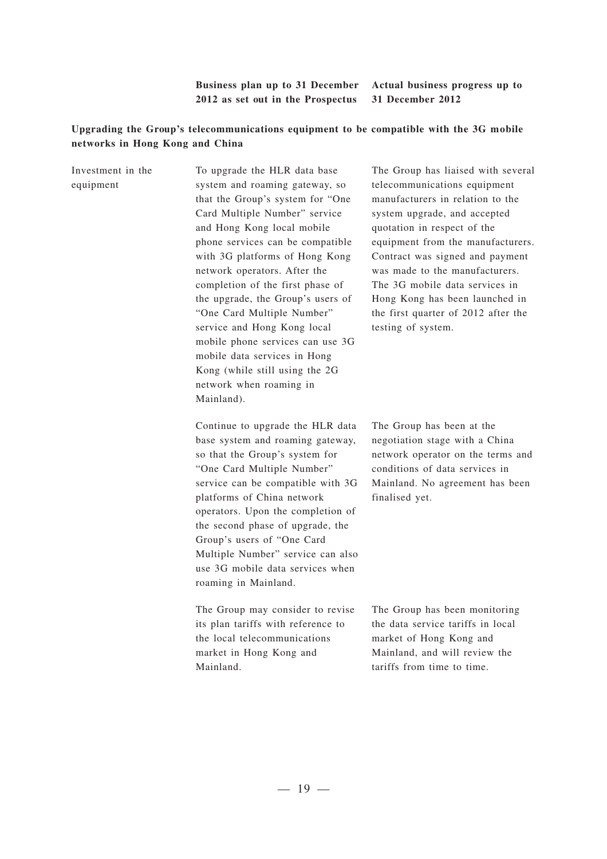**Business plan up to 31 December Actual business progress up to 2012 as set out in the Prospectus 31 December 2012**

#### Upgrading the Group's telecommunications equipment to be compatible with the 3G mobile **networks in Hong Kong and China**

| Investment in the<br>equipment | To upgrade the HLR data base<br>system and roaming gateway, so<br>that the Group's system for "One<br>Card Multiple Number" service<br>and Hong Kong local mobile<br>phone services can be compatible<br>with 3G platforms of Hong Kong<br>network operators. After the<br>completion of the first phase of<br>the upgrade, the Group's users of<br>"One Card Multiple Number"<br>service and Hong Kong local<br>mobile phone services can use 3G<br>mobile data services in Hong<br>Kong (while still using the 2G<br>network when roaming in<br>Mainland). | The Group has liaised with several<br>telecommunications equipment<br>manufacturers in relation to the<br>system upgrade, and accepted<br>quotation in respect of the<br>equipment from the manufacturers.<br>Contract was signed and payment<br>was made to the manufacturers.<br>The 3G mobile data services in<br>Hong Kong has been launched in<br>the first quarter of 2012 after the<br>testing of system. |
|--------------------------------|--------------------------------------------------------------------------------------------------------------------------------------------------------------------------------------------------------------------------------------------------------------------------------------------------------------------------------------------------------------------------------------------------------------------------------------------------------------------------------------------------------------------------------------------------------------|------------------------------------------------------------------------------------------------------------------------------------------------------------------------------------------------------------------------------------------------------------------------------------------------------------------------------------------------------------------------------------------------------------------|
|                                | Continue to upgrade the HLR data<br>base system and roaming gateway,<br>so that the Group's system for<br>"One Card Multiple Number"<br>service can be compatible with 3G<br>platforms of China network<br>operators. Upon the completion of<br>the second phase of upgrade, the<br>Group's users of "One Card<br>Multiple Number" service can also<br>use 3G mobile data services when<br>roaming in Mainland.                                                                                                                                              | The Group has been at the<br>negotiation stage with a China<br>network operator on the terms and<br>conditions of data services in<br>Mainland. No agreement has been<br>finalised yet.                                                                                                                                                                                                                          |
|                                | The Group may consider to revise<br>its plan tariffs with reference to<br>the local telecommunications<br>market in Hong Kong and<br>Mainland.                                                                                                                                                                                                                                                                                                                                                                                                               | The Group has been monitoring<br>the data service tariffs in local<br>market of Hong Kong and<br>Mainland, and will review the<br>tariffs from time to time.                                                                                                                                                                                                                                                     |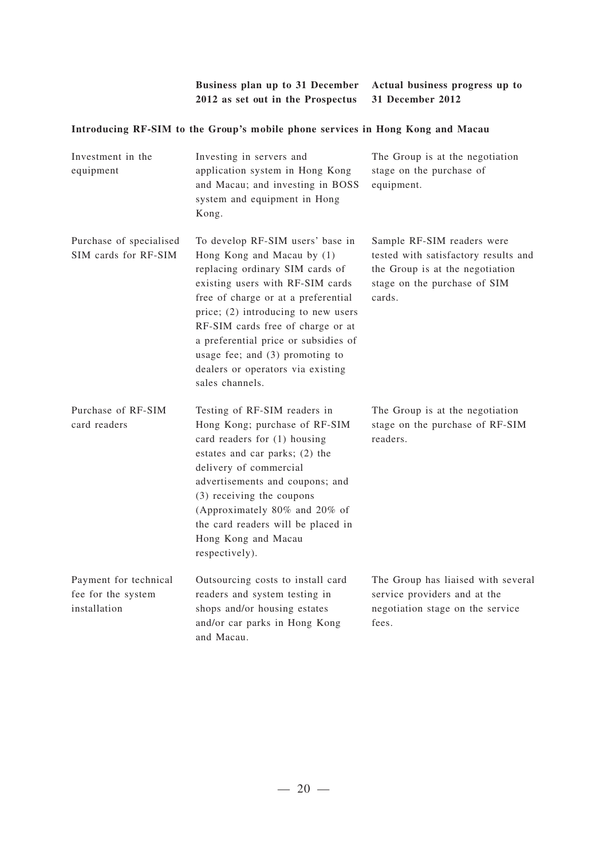| Business plan up to 31 December Actual business progress up to |  |
|----------------------------------------------------------------|--|
| 2012 as set out in the Prospectus 31 December 2012             |  |

### **Introducing RF-SIM to the Group's m obile phone services in Hong Kong and Macau**

| Investment in the<br>equipment                              | Investing in servers and<br>application system in Hong Kong<br>and Macau; and investing in BOSS<br>system and equipment in Hong<br>Kong.                                                                                                                                                                                                                                                      | The Group is at the negotiation<br>stage on the purchase of<br>equipment.                                                                       |
|-------------------------------------------------------------|-----------------------------------------------------------------------------------------------------------------------------------------------------------------------------------------------------------------------------------------------------------------------------------------------------------------------------------------------------------------------------------------------|-------------------------------------------------------------------------------------------------------------------------------------------------|
| Purchase of specialised<br>SIM cards for RF-SIM             | To develop RF-SIM users' base in<br>Hong Kong and Macau by (1)<br>replacing ordinary SIM cards of<br>existing users with RF-SIM cards<br>free of charge or at a preferential<br>price; (2) introducing to new users<br>RF-SIM cards free of charge or at<br>a preferential price or subsidies of<br>usage fee; and $(3)$ promoting to<br>dealers or operators via existing<br>sales channels. | Sample RF-SIM readers were<br>tested with satisfactory results and<br>the Group is at the negotiation<br>stage on the purchase of SIM<br>cards. |
| Purchase of RF-SIM<br>card readers                          | Testing of RF-SIM readers in<br>Hong Kong; purchase of RF-SIM<br>card readers for (1) housing<br>estates and car parks; (2) the<br>delivery of commercial<br>advertisements and coupons; and<br>(3) receiving the coupons<br>(Approximately 80% and 20% of<br>the card readers will be placed in<br>Hong Kong and Macau<br>respectively).                                                     | The Group is at the negotiation<br>stage on the purchase of RF-SIM<br>readers.                                                                  |
| Payment for technical<br>fee for the system<br>installation | Outsourcing costs to install card<br>readers and system testing in<br>shops and/or housing estates<br>and/or car parks in Hong Kong<br>and Macau.                                                                                                                                                                                                                                             | The Group has liaised with several<br>service providers and at the<br>negotiation stage on the service<br>fees.                                 |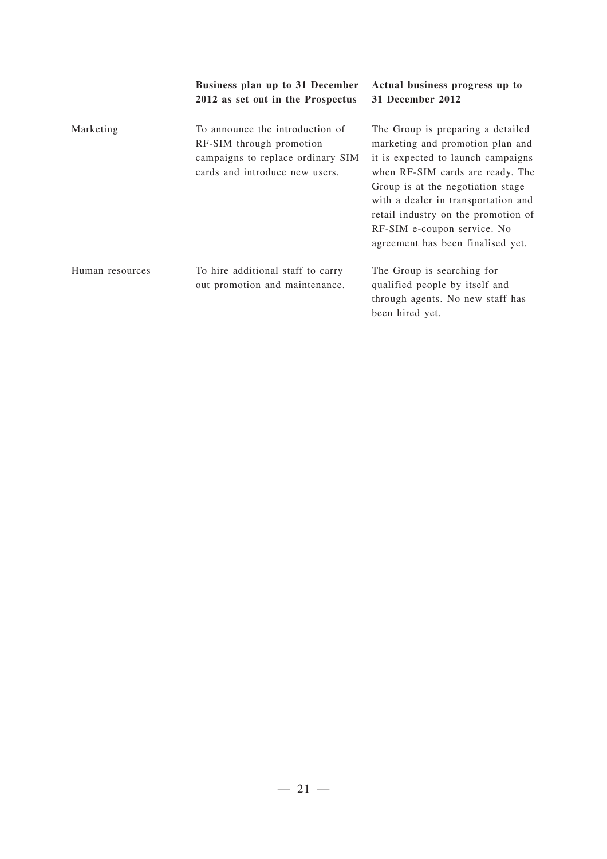|                 | Business plan up to 31 December<br>2012 as set out in the Prospectus                                                               | Actual business progress up to<br>31 December 2012                                                                                                                                                                                                                                                                                     |
|-----------------|------------------------------------------------------------------------------------------------------------------------------------|----------------------------------------------------------------------------------------------------------------------------------------------------------------------------------------------------------------------------------------------------------------------------------------------------------------------------------------|
| Marketing       | To announce the introduction of<br>RF-SIM through promotion<br>campaigns to replace ordinary SIM<br>cards and introduce new users. | The Group is preparing a detailed<br>marketing and promotion plan and<br>it is expected to launch campaigns<br>when RF-SIM cards are ready. The<br>Group is at the negotiation stage<br>with a dealer in transportation and<br>retail industry on the promotion of<br>RF-SIM e-coupon service. No<br>agreement has been finalised yet. |
| Human resources | To hire additional staff to carry<br>out promotion and maintenance.                                                                | The Group is searching for<br>qualified people by itself and<br>through agents. No new staff has<br>been hired yet.                                                                                                                                                                                                                    |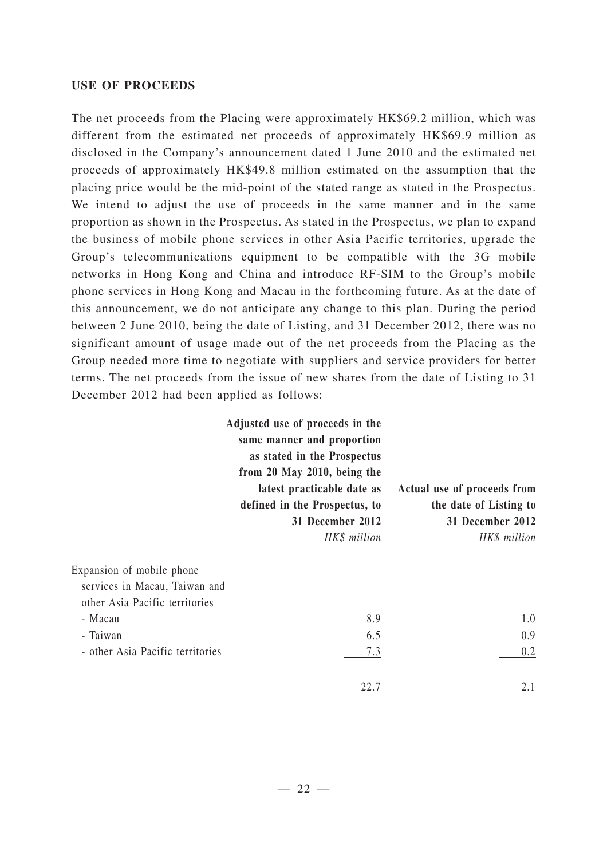#### **USE OF PROCEEDS**

The net proceeds from the Placing were approximately HK\$69.2 million, which was different from the estimated net proceeds of approximately HK\$69.9 million as disclosed in the Company's announcement dated 1 June 2010 and the estimated net proceeds of approximately HK\$49.8 million estimated on the assumption that the placing price would be the mid-point of the stated range as stated in the Prospectus. We intend to adjust the use of proceeds in the same manner and in the same proportion as shown in the Prospectus. As stated in the Prospectus, we plan to expand the business of mobile phone services in other Asia Pacific territories, upgrade the Group's telecommunications equipment to be compatible with the 3G mobile networks in Hong Kong and China and introduce RF-SIM to the Group's mobile phone services in Hong Kong and Macau in the forthcoming future. As at the date of this announcement, we do not anticipate any change to this plan. During the period between 2 June 2010, being the date of Listing, and 31 December 2012, there was no significant amount of usage made out of the net proceeds from the Placing as the Group needed more time to negotiate with suppliers and service providers for better terms. The net proceeds from the issue of new shares from the date of Listing to 31 December 2012 had been applied as follows:

|                                                                                                                                                         | Adjusted use of proceeds in the<br>same manner and proportion<br>as stated in the Prospectus<br>from 20 May 2010, being the<br>latest practicable date as<br>defined in the Prospectus, to<br>31 December 2012<br>HK\$ million | Actual use of proceeds from<br>the date of Listing to<br>31 December 2012<br>HK\$ million |
|---------------------------------------------------------------------------------------------------------------------------------------------------------|--------------------------------------------------------------------------------------------------------------------------------------------------------------------------------------------------------------------------------|-------------------------------------------------------------------------------------------|
| Expansion of mobile phone<br>services in Macau, Taiwan and<br>other Asia Pacific territories<br>- Macau<br>- Taiwan<br>- other Asia Pacific territories | 8.9<br>6.5<br>7.3                                                                                                                                                                                                              | 1.0<br>0.9<br>0.2                                                                         |
|                                                                                                                                                         | 22.7                                                                                                                                                                                                                           | 2.1                                                                                       |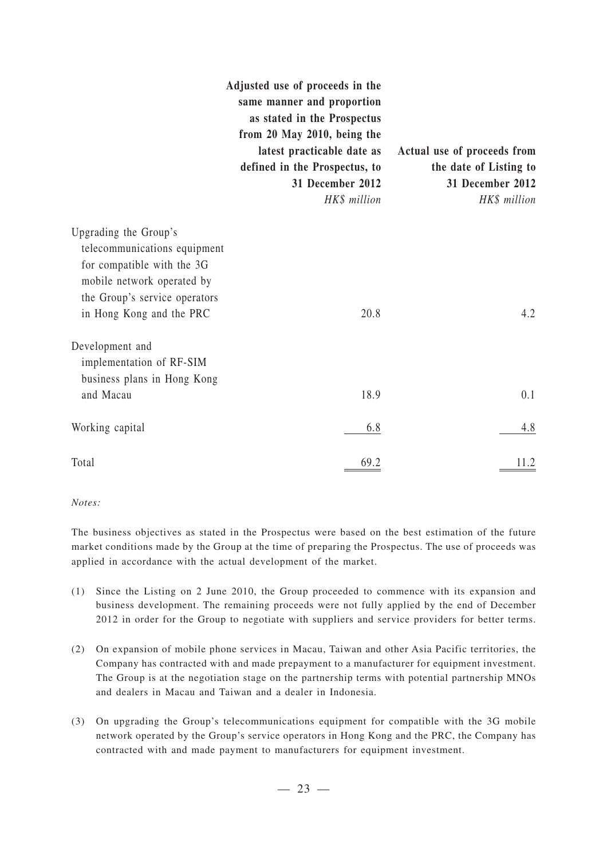|                                                                                                                                                                                | Adjusted use of proceeds in the<br>same manner and proportion<br>as stated in the Prospectus<br>from 20 May 2010, being the<br>latest practicable date as<br>defined in the Prospectus, to<br>31 December 2012<br>HK\$ million | Actual use of proceeds from<br>the date of Listing to<br>31 December 2012<br>HK\$ million |
|--------------------------------------------------------------------------------------------------------------------------------------------------------------------------------|--------------------------------------------------------------------------------------------------------------------------------------------------------------------------------------------------------------------------------|-------------------------------------------------------------------------------------------|
| Upgrading the Group's<br>telecommunications equipment<br>for compatible with the 3G<br>mobile network operated by<br>the Group's service operators<br>in Hong Kong and the PRC | 20.8                                                                                                                                                                                                                           | 4.2                                                                                       |
| Development and<br>implementation of RF-SIM<br>business plans in Hong Kong                                                                                                     |                                                                                                                                                                                                                                |                                                                                           |
| and Macau                                                                                                                                                                      | 18.9                                                                                                                                                                                                                           | 0.1                                                                                       |
| Working capital                                                                                                                                                                | 6.8                                                                                                                                                                                                                            | 4.8                                                                                       |
| Total                                                                                                                                                                          | 69.2                                                                                                                                                                                                                           |                                                                                           |

#### *Notes:*

The business objectives as stated in the Prospectus were based on the best estimation of the future market conditions made by the Group at the time of preparing the Prospectus. The use of proceeds was applied in accordance with the actual development of the market.

- (1) Since the Listing on 2 June 2010, the Group proceeded to commence with its expansion and business development. The remaining proceeds were not fully applied by the end of December 2012 in order for the Group to negotiate with suppliers and service providers for better terms.
- (2) On expansion of mobile phone services in Macau, Taiwan and other Asia Pacific territories, the Company has contracted with and made prepayment to a manufacturer for equipment investment. The Group is at the negotiation stage on the partnership terms with potential partnership MNOs and dealers in Macau and Taiwan and a dealer in Indonesia.
- (3) On upgrading the Group's telecommunications equipment for compatible with the 3G mobile network operated by the Group's service operators in Hong Kong and the PRC, the Company has contracted with and made payment to manufacturers for equipment investment.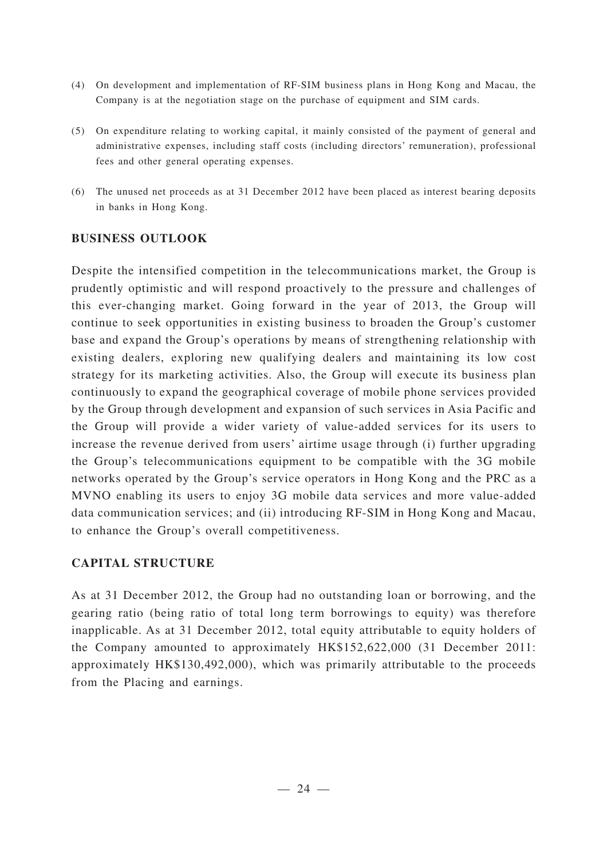- (4) On development and implementation of RF-SIM business plans in Hong Kong and Macau, the Company is at the negotiation stage on the purchase of equipment and SIM cards.
- (5) On expenditure relating to working capital, it mainly consisted of the payment of general and administrative expenses, including staff costs (including directors' remuneration), professional fees and other general operating expenses.
- (6) The unused net proceeds as at 31 December 2012 have been placed as interest bearing deposits in banks in Hong Kong.

## **BUSINESS OUTLOOK**

Despite the intensified competition in the telecommunications market, the Group is prudently optimistic and will respond proactively to the pressure and challenges of this ever-changing market. Going forward in the year of 2013, the Group will continue to seek opportunities in existing business to broaden the Group's customer base and expand the Group's operations by means of strengthening relationship with existing dealers, exploring new qualifying dealers and maintaining its low cost strategy for its marketing activities. Also, the Group will execute its business plan continuously to expand the geographical coverage of mobile phone services provided by the Group through development and expansion of such services in Asia Pacific and the Group will provide a wider variety of value-added services for its users to increase the revenue derived from users' airtime usage through (i) further upgrading the Group's telecommunications equipment to be compatible with the 3G mobile networks operated by the Group's service operators in Hong Kong and the PRC as a MVNO enabling its users to enjoy 3G mobile data services and more value-added data communication services; and (ii) introducing RF-SIM in Hong Kong and Macau, to enhance the Group's overall competitiveness.

## **CAPITAL STRUCTURE**

As at 31 December 2012, the Group had no outstanding loan or borrowing, and the gearing ratio (being ratio of total long term borrowings to equity) was therefore inapplicable. As at 31 December 2012, total equity attributable to equity holders of the Company amounted to approximately HK\$152,622,000 (31 December 2011: approximately HK\$130,492,000), which was primarily attributable to the proceeds from the Placing and earnings.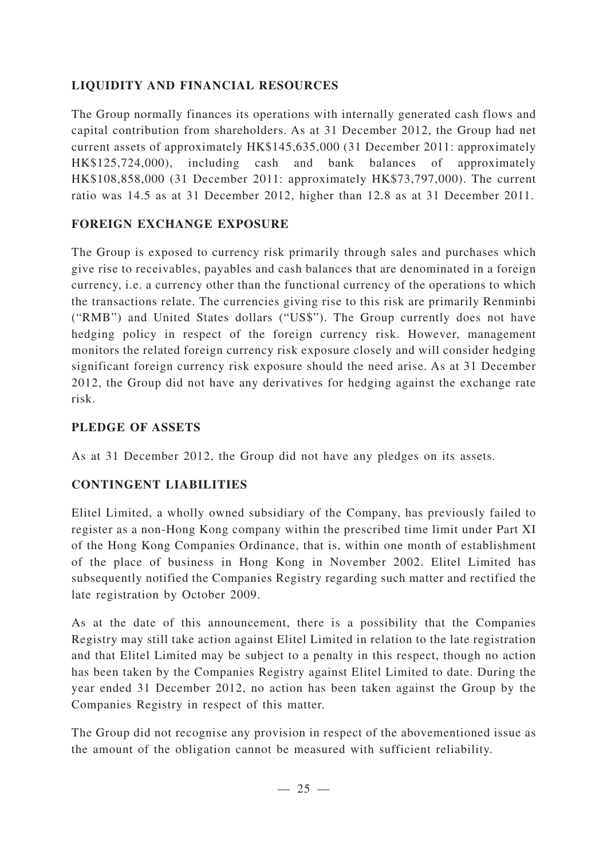## **LIQUIDITY AND FINANCIAL RESOURCES**

The Group normally finances its operations with internally generated cash flows and capital contribution from shareholders. As at 31 December 2012, the Group had net current assets of approximately HK\$145,635,000 (31 December 2011: approximately HK\$125,724,000), including cash and bank balances of approximately HK\$108,858,000 (31 December 2011: approximately HK\$73,797,000). The current ratio was 14.5 as at 31 December 2012, higher than 12.8 as at 31 December 2011.

## **FOREIGN EXCHANGE EXPOSURE**

The Group is exposed to currency risk primarily through sales and purchases which give rise to receivables, payables and cash balances that are denominated in a foreign currency, i.e. a currency other than the functional currency of the operations to which the transactions relate. The currencies giving rise to this risk are primarily Renminbi ("RMB") and United States dollars ("US\$"). The Group currently does not have hedging policy in respect of the foreign currency risk. However, management monitors the related foreign currency risk exposure closely and will consider hedging significant foreign currency risk exposure should the need arise. As at 31 December 2012, the Group did not have any derivatives for hedging against the exchange rate risk.

## **PLEDGE OF ASSETS**

As at 31 December 2012, the Group did not have any pledges on its assets.

## **CONTINGENT LIABILITIES**

Elitel Limited, a wholly owned subsidiary of the Company, has previously failed to register as a non-Hong Kong company within the prescribed time limit under Part XI of the Hong Kong Companies Ordinance, that is, within one month of establishment of the place of business in Hong Kong in November 2002. Elitel Limited has subsequently notified the Companies Registry regarding such matter and rectified the late registration by October 2009.

As at the date of this announcement, there is a possibility that the Companies Registry may still take action against Elitel Limited in relation to the late registration and that Elitel Limited may be subject to a penalty in this respect, though no action has been taken by the Companies Registry against Elitel Limited to date. During the year ended 31 December 2012, no action has been taken against the Group by the Companies Registry in respect of this matter.

The Group did not recognise any provision in respect of the abovementioned issue as the amount of the obligation cannot be measured with sufficient reliability.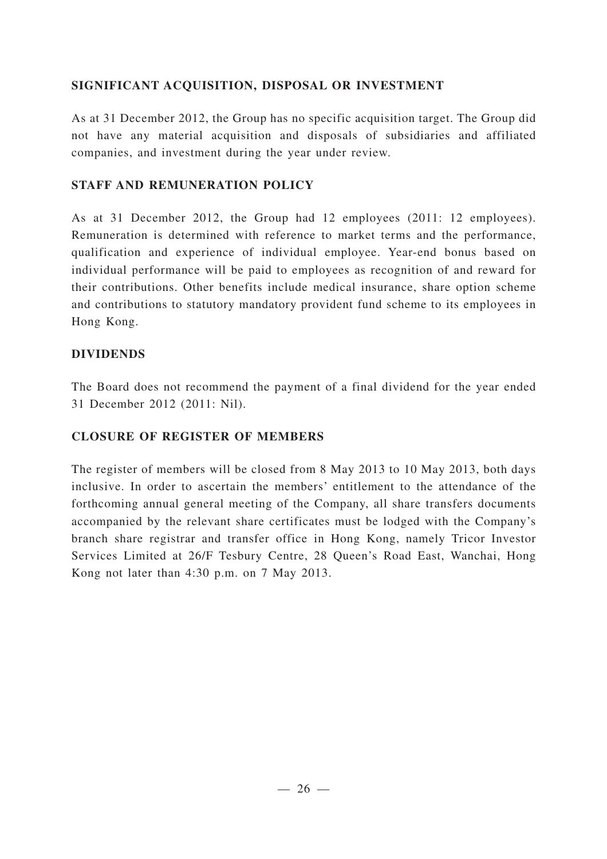### **SIGNIFICANT ACQUISITION, DISPOSAL OR INVESTMENT**

As at 31 December 2012, the Group has no specific acquisition target. The Group did not have any material acquisition and disposals of subsidiaries and affiliated companies, and investment during the year under review.

### **STAFF AND REMUNERATION POLICY**

As at 31 December 2012, the Group had 12 employees (2011: 12 employees). Remuneration is determined with reference to market terms and the performance, qualification and experience of individual employee. Year-end bonus based on individual performance will be paid to employees as recognition of and reward for their contributions. Other benefits include medical insurance, share option scheme and contributions to statutory mandatory provident fund scheme to its employees in Hong Kong.

### **DIVIDENDS**

The Board does not recommend the payment of a final dividend for the year ended 31 December 2012 (2011: Nil).

### **CLOSURE OF REGISTER OF MEMBERS**

The register of members will be closed from 8 May 2013 to 10 May 2013, both days inclusive. In order to ascertain the members' entitlement to the attendance of the forthcoming annual general meeting of the Company, all share transfers documents accompanied by the relevant share certificates must be lodged with the Company's branch share registrar and transfer office in Hong Kong, namely Tricor Investor Services Limited at 26/F Tesbury Centre, 28 Queen's Road East, Wanchai, Hong Kong not later than 4:30 p.m. on 7 May 2013.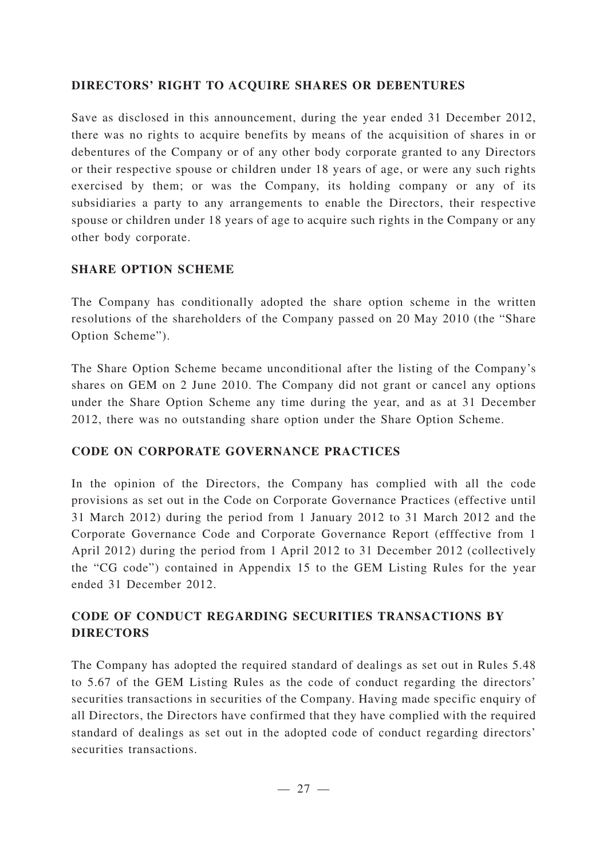### **DIRECTORS' RIGHT TO ACQUIRE SHARES OR DEBENTURES**

Save as disclosed in this announcement, during the year ended 31 December 2012, there was no rights to acquire benefits by means of the acquisition of shares in or debentures of the Company or of any other body corporate granted to any Directors or their respective spouse or children under 18 years of age, or were any such rights exercised by them; or was the Company, its holding company or any of its subsidiaries a party to any arrangements to enable the Directors, their respective spouse or children under 18 years of age to acquire such rights in the Company or any other body corporate.

## **SHARE OPTION SCHEME**

The Company has conditionally adopted the share option scheme in the written resolutions of the shareholders of the Company passed on 20 May 2010 (the "Share Option Scheme").

The Share Option Scheme became unconditional after the listing of the Company's shares on GEM on 2 June 2010. The Company did not grant or cancel any options under the Share Option Scheme any time during the year, and as at 31 December 2012, there was no outstanding share option under the Share Option Scheme.

## **CODE ON CORPORATE GOVERNANCE PRACTICES**

In the opinion of the Directors, the Company has complied with all the code provisions as set out in the Code on Corporate Governance Practices (effective until 31 March 2012) during the period from 1 January 2012 to 31 March 2012 and the Corporate Governance Code and Corporate Governance Report (efffective from 1 April 2012) during the period from 1 April 2012 to 31 December 2012 (collectively the "CG code") contained in Appendix 15 to the GEM Listing Rules for the year ended 31 December 2012.

## **CODE OF CONDUCT REGARDING SECURITIES TRANSACTIONS BY DIRECTORS**

The Company has adopted the required standard of dealings as set out in Rules 5.48 to 5.67 of the GEM Listing Rules as the code of conduct regarding the directors' securities transactions in securities of the Company. Having made specific enquiry of all Directors, the Directors have confirmed that they have complied with the required standard of dealings as set out in the adopted code of conduct regarding directors' securities transactions.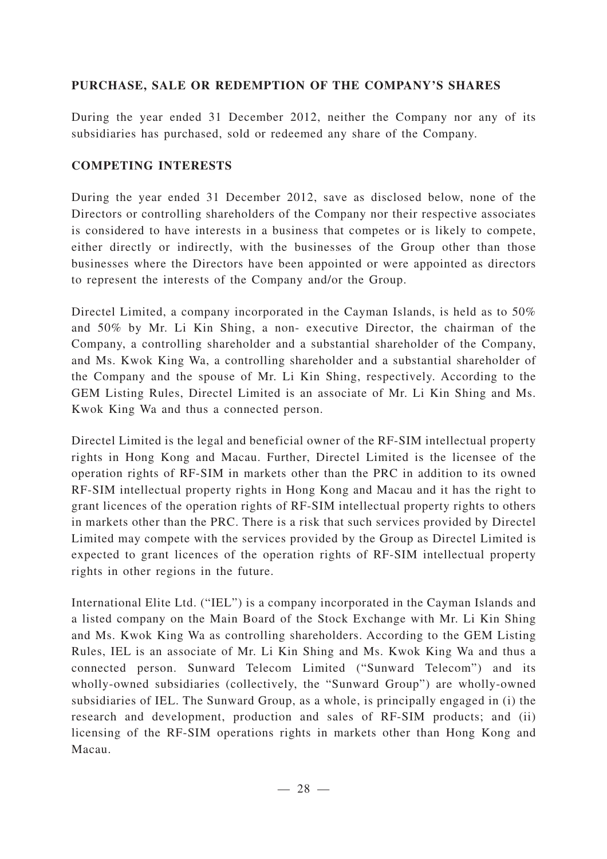### **PURCHASE, SALE OR REDEMPTION OF THE COMPANY'S SHARES**

During the year ended 31 December 2012, neither the Company nor any of its subsidiaries has purchased, sold or redeemed any share of the Company.

#### **COMPETING INTERESTS**

During the year ended 31 December 2012, save as disclosed below, none of the Directors or controlling shareholders of the Company nor their respective associates is considered to have interests in a business that competes or is likely to compete, either directly or indirectly, with the businesses of the Group other than those businesses where the Directors have been appointed or were appointed as directors to represent the interests of the Company and/or the Group.

Directel Limited, a company incorporated in the Cayman Islands, is held as to 50% and 50% by Mr. Li Kin Shing, a non- executive Director, the chairman of the Company, a controlling shareholder and a substantial shareholder of the Company, and Ms. Kwok King Wa, a controlling shareholder and a substantial shareholder of the Company and the spouse of Mr. Li Kin Shing, respectively. According to the GEM Listing Rules, Directel Limited is an associate of Mr. Li Kin Shing and Ms. Kwok King Wa and thus a connected person.

Directel Limited is the legal and beneficial owner of the RF-SIM intellectual property rights in Hong Kong and Macau. Further, Directel Limited is the licensee of the operation rights of RF-SIM in markets other than the PRC in addition to its owned RF-SIM intellectual property rights in Hong Kong and Macau and it has the right to grant licences of the operation rights of RF-SIM intellectual property rights to others in markets other than the PRC. There is a risk that such services provided by Directel Limited may compete with the services provided by the Group as Directel Limited is expected to grant licences of the operation rights of RF-SIM intellectual property rights in other regions in the future.

International Elite Ltd. ("IEL") is a company incorporated in the Cayman Islands and a listed company on the Main Board of the Stock Exchange with Mr. Li Kin Shing and Ms. Kwok King Wa as controlling shareholders. According to the GEM Listing Rules, IEL is an associate of Mr. Li Kin Shing and Ms. Kwok King Wa and thus a connected person. Sunward Telecom Limited ("Sunward Telecom") and its wholly-owned subsidiaries (collectively, the "Sunward Group") are wholly-owned subsidiaries of IEL. The Sunward Group, as a whole, is principally engaged in (i) the research and development, production and sales of RF-SIM products; and (ii) licensing of the RF-SIM operations rights in markets other than Hong Kong and Macau.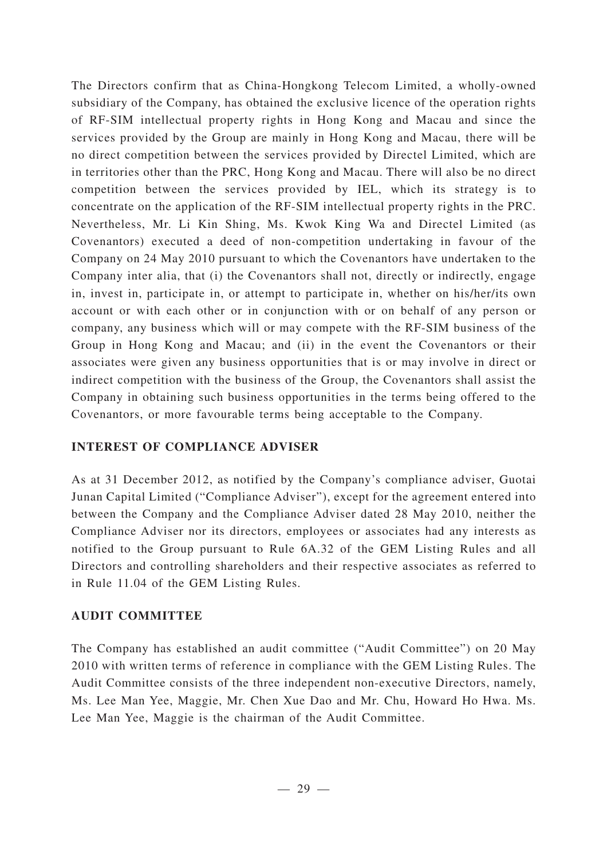The Directors confirm that as China-Hongkong Telecom Limited, a wholly-owned subsidiary of the Company, has obtained the exclusive licence of the operation rights of RF-SIM intellectual property rights in Hong Kong and Macau and since the services provided by the Group are mainly in Hong Kong and Macau, there will be no direct competition between the services provided by Directel Limited, which are in territories other than the PRC, Hong Kong and Macau. There will also be no direct competition between the services provided by IEL, which its strategy is to concentrate on the application of the RF-SIM intellectual property rights in the PRC. Nevertheless, Mr. Li Kin Shing, Ms. Kwok King Wa and Directel Limited (as Covenantors) executed a deed of non-competition undertaking in favour of the Company on 24 May 2010 pursuant to which the Covenantors have undertaken to the Company inter alia, that (i) the Covenantors shall not, directly or indirectly, engage in, invest in, participate in, or attempt to participate in, whether on his/her/its own account or with each other or in conjunction with or on behalf of any person or company, any business which will or may compete with the RF-SIM business of the Group in Hong Kong and Macau; and (ii) in the event the Covenantors or their associates were given any business opportunities that is or may involve in direct or indirect competition with the business of the Group, the Covenantors shall assist the Company in obtaining such business opportunities in the terms being offered to the Covenantors, or more favourable terms being acceptable to the Company.

## **INTEREST OF COMPLIANCE ADVISER**

As at 31 December 2012, as notified by the Company's compliance adviser, Guotai Junan Capital Limited ("Compliance Adviser"), except for the agreement entered into between the Company and the Compliance Adviser dated 28 May 2010, neither the Compliance Adviser nor its directors, employees or associates had any interests as notified to the Group pursuant to Rule 6A.32 of the GEM Listing Rules and all Directors and controlling shareholders and their respective associates as referred to in Rule 11.04 of the GEM Listing Rules.

## **AUDIT COMMITTEE**

The Company has established an audit committee ("Audit Committee") on 20 May 2010 with written terms of reference in compliance with the GEM Listing Rules. The Audit Committee consists of the three independent non-executive Directors, namely, Ms. Lee Man Yee, Maggie, Mr. Chen Xue Dao and Mr. Chu, Howard Ho Hwa. Ms. Lee Man Yee, Maggie is the chairman of the Audit Committee.